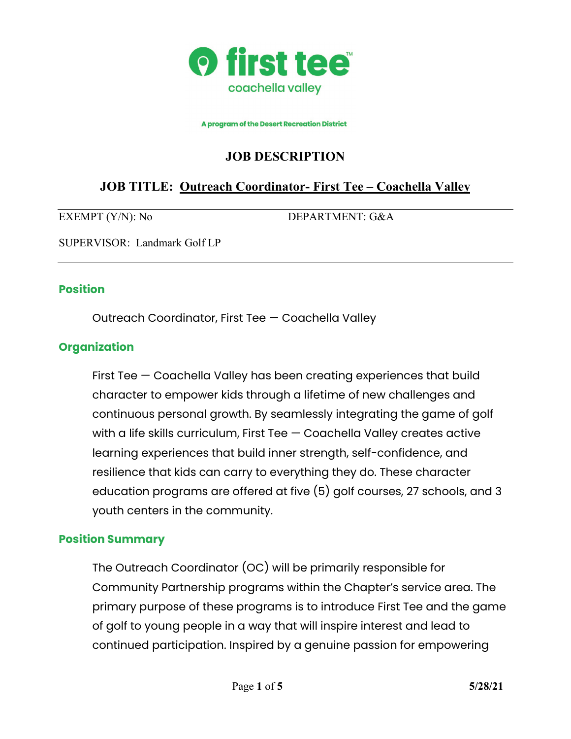

A program of the Desert Recreation District

# **JOB DESCRIPTION**

# **JOB TITLE: Outreach Coordinator- First Tee – Coachella Valley**

EXEMPT (Y/N): No DEPARTMENT: G&A

SUPERVISOR: Landmark Golf LP

#### **Position**

Outreach Coordinator, First Tee — Coachella Valley

#### **Organization**

First Tee — Coachella Valley has been creating experiences that build character to empower kids through a lifetime of new challenges and continuous personal growth. By seamlessly integrating the game of golf with a life skills curriculum, First Tee — Coachella Valley creates active learning experiences that build inner strength, self-confidence, and resilience that kids can carry to everything they do. These character education programs are offered at five (5) golf courses, 27 schools, and 3 youth centers in the community.

#### **Position Summary**

The Outreach Coordinator (OC) will be primarily responsible for Community Partnership programs within the Chapter's service area. The primary purpose of these programs is to introduce First Tee and the game of golf to young people in a way that will inspire interest and lead to continued participation. Inspired by a genuine passion for empowering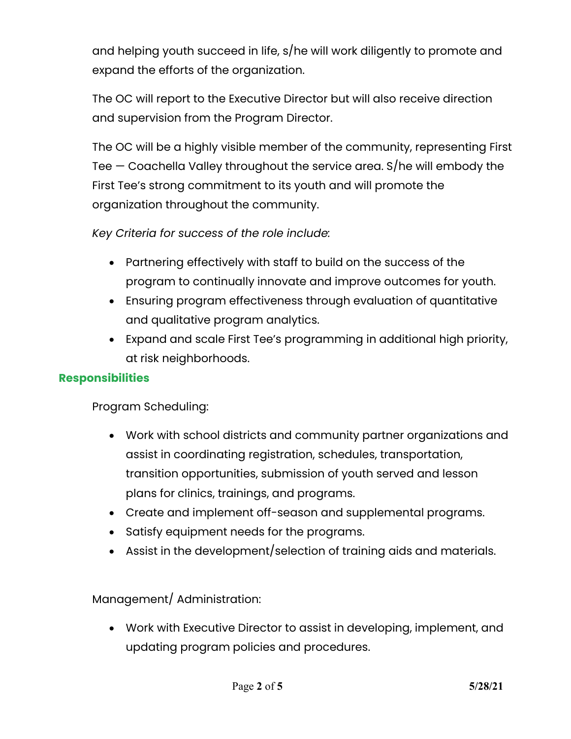and helping youth succeed in life, s/he will work diligently to promote and expand the efforts of the organization.

The OC will report to the Executive Director but will also receive direction and supervision from the Program Director.

The OC will be a highly visible member of the community, representing First Tee — Coachella Valley throughout the service area. S/he will embody the First Tee's strong commitment to its youth and will promote the organization throughout the community.

*Key Criteria for success of the role include:*

- Partnering effectively with staff to build on the success of the program to continually innovate and improve outcomes for youth.
- Ensuring program effectiveness through evaluation of quantitative and qualitative program analytics.
- Expand and scale First Tee's programming in additional high priority, at risk neighborhoods.

## **Responsibilities**

Program Scheduling:

- Work with school districts and community partner organizations and assist in coordinating registration, schedules, transportation, transition opportunities, submission of youth served and lesson plans for clinics, trainings, and programs.
- Create and implement off-season and supplemental programs.
- Satisfy equipment needs for the programs.
- Assist in the development/selection of training aids and materials.

Management/ Administration:

• Work with Executive Director to assist in developing, implement, and updating program policies and procedures.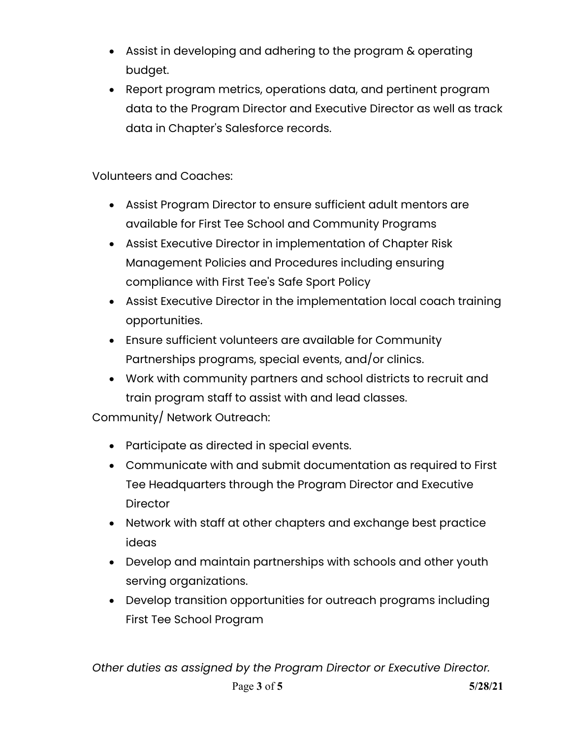- Assist in developing and adhering to the program & operating budget.
- Report program metrics, operations data, and pertinent program data to the Program Director and Executive Director as well as track data in Chapter's Salesforce records.

Volunteers and Coaches:

- Assist Program Director to ensure sufficient adult mentors are available for First Tee School and Community Programs
- Assist Executive Director in implementation of Chapter Risk Management Policies and Procedures including ensuring compliance with First Tee's Safe Sport Policy
- Assist Executive Director in the implementation local coach training opportunities.
- Ensure sufficient volunteers are available for Community Partnerships programs, special events, and/or clinics.
- Work with community partners and school districts to recruit and train program staff to assist with and lead classes.

Community/ Network Outreach:

- Participate as directed in special events.
- Communicate with and submit documentation as required to First Tee Headquarters through the Program Director and Executive **Director**
- Network with staff at other chapters and exchange best practice ideas
- Develop and maintain partnerships with schools and other youth serving organizations.
- Develop transition opportunities for outreach programs including First Tee School Program

*Other duties as assigned by the Program Director or Executive Director.*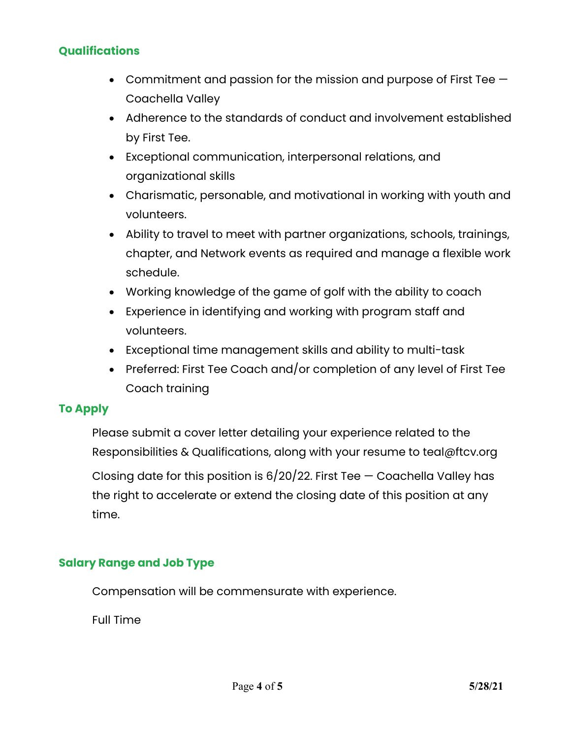## **Qualifications**

- Commitment and passion for the mission and purpose of First Tee Coachella Valley
- Adherence to the standards of conduct and involvement established by First Tee.
- Exceptional communication, interpersonal relations, and organizational skills
- Charismatic, personable, and motivational in working with youth and volunteers.
- Ability to travel to meet with partner organizations, schools, trainings, chapter, and Network events as required and manage a flexible work schedule.
- Working knowledge of the game of golf with the ability to coach
- Experience in identifying and working with program staff and volunteers.
- Exceptional time management skills and ability to multi-task
- Preferred: First Tee Coach and/or completion of any level of First Tee Coach training

#### **To Apply**

Please submit a cover letter detailing your experience related to the Responsibilities & Qualifications, along with your resume to teal@ftcv.org Closing date for this position is  $6/20/22$ . First Tee  $-$  Coachella Valley has the right to accelerate or extend the closing date of this position at any

time.

## **Salary Range and Job Type**

Compensation will be commensurate with experience.

Full Time